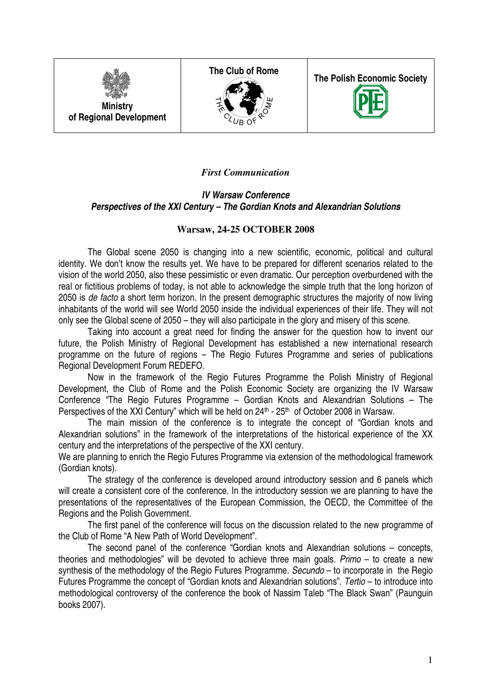

**The Club of Rome** 



**The Polish Economic Society** 



# *First Communication*

## **IV Warsaw Conference Perspectives of the XXI Century – The Gordian Knots and Alexandrian Solutions**

## **Warsaw, 24-25 OCTOBER 2008**

The Global scene 2050 is changing into a new scientific, economic, political and cultural identity. We don't know the results yet. We have to be prepared for different scenarios related to the vision of the world 2050, also these pessimistic or even dramatic. Our perception overburdened with the real or fictitious problems of today, is not able to acknowledge the simple truth that the long horizon of 2050 is de facto a short term horizon. In the present demographic structures the majority of now living inhabitants of the world will see World 2050 inside the individual experiences of their life. They will not only see the Global scene of 2050 – they will also participate in the glory and misery of this scene.

Taking into account a great need for finding the answer for the question how to invent our future, the Polish Ministry of Regional Development has established a new international research programme on the future of regions – The Regio Futures Programme and series of publications Regional Development Forum REDEFO.

 Now in the framework of the Regio Futures Programme the Polish Ministry of Regional Development, the Club of Rome and the Polish Economic Society are organizing the IV Warsaw Conference "The Regio Futures Programme – Gordian Knots and Alexandrian Solutions – The Perspectives of the XXI Century" which will be held on 24<sup>th</sup> - 25<sup>th</sup> of October 2008 in Warsaw.

 The main mission of the conference is to integrate the concept of "Gordian knots and Alexandrian solutions" in the framework of the interpretations of the historical experience of the XX century and the interpretations of the perspective of the XXI century.

We are planning to enrich the Regio Futures Programme via extension of the methodological framework (Gordian knots).

 The strategy of the conference is developed around introductory session and 6 panels which will create a consistent core of the conference. In the introductory session we are planning to have the presentations of the representatives of the European Commission, the OECD, the Committee of the Regions and the Polish Government.

 The first panel of the conference will focus on the discussion related to the new programme of the Club of Rome "A New Path of World Development".

 The second panel of the conference "Gordian knots and Alexandrian solutions – concepts, theories and methodologies" will be devoted to achieve three main goals. Primo – to create a new synthesis of the methodology of the Regio Futures Programme. Secundo – to incorporate in the Regio Futures Programme the concept of "Gordian knots and Alexandrian solutions". Tertio – to introduce into methodological controversy of the conference the book of Nassim Taleb "The Black Swan" (Paunguin books 2007).